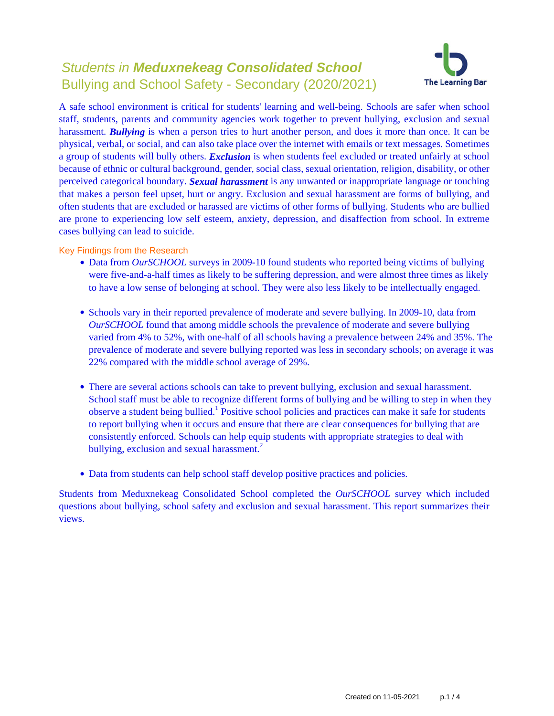# Students in **Meduxnekeag Consolidated School** Bullying and School Safety - Secondary (2020/2021)



A safe school environment is critical for students' learning and well-being. Schools are safer when school staff, students, parents and community agencies work together to prevent bullying, exclusion and sexual harassment. *Bullying* is when a person tries to hurt another person, and does it more than once. It can be physical, verbal, or social, and can also take place over the internet with emails or text messages. Sometimes a group of students will bully others. *Exclusion* is when students feel excluded or treated unfairly at school because of ethnic or cultural background, gender, social class, sexual orientation, religion, disability, or other perceived categorical boundary. *Sexual harassment* is any unwanted or inappropriate language or touching that makes a person feel upset, hurt or angry. Exclusion and sexual harassment are forms of bullying, and often students that are excluded or harassed are victims of other forms of bullying. Students who are bullied are prone to experiencing low self esteem, anxiety, depression, and disaffection from school. In extreme cases bullying can lead to suicide.

Key Findings from the Research

- Data from *OurSCHOOL* surveys in 2009-10 found students who reported being victims of bullying were five-and-a-half times as likely to be suffering depression, and were almost three times as likely to have a low sense of belonging at school. They were also less likely to be intellectually engaged.
- Schools vary in their reported prevalence of moderate and severe bullying. In 2009-10, data from *OurSCHOOL* found that among middle schools the prevalence of moderate and severe bullying varied from 4% to 52%, with one-half of all schools having a prevalence between 24% and 35%. The prevalence of moderate and severe bullying reported was less in secondary schools; on average it was 22% compared with the middle school average of 29%.
- There are several actions schools can take to prevent bullying, exclusion and sexual harassment. School staff must be able to recognize different forms of bullying and be willing to step in when they observe a student being bullied.<sup>1</sup> Positive school policies and practices can make it safe for students to report bullying when it occurs and ensure that there are clear consequences for bullying that are consistently enforced. Schools can help equip students with appropriate strategies to deal with bullying, exclusion and sexual harassment.<sup>2</sup>
- Data from students can help school staff develop positive practices and policies.

Students from Meduxnekeag Consolidated School completed the *OurSCHOOL* survey which included questions about bullying, school safety and exclusion and sexual harassment. This report summarizes their views.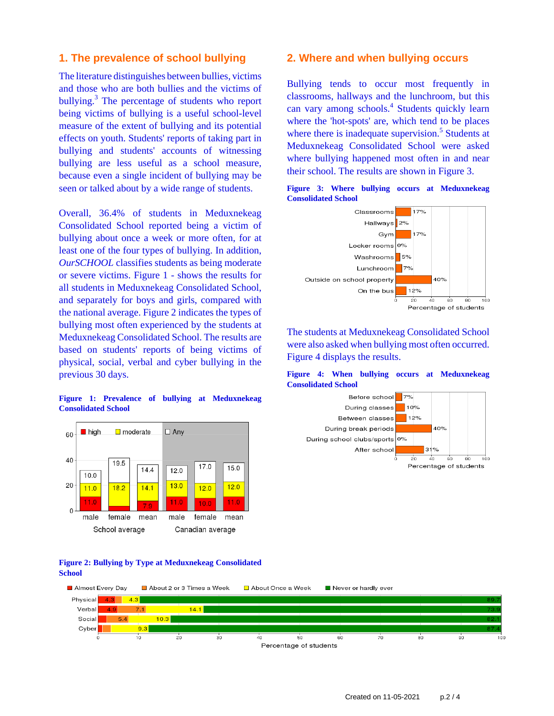### **1. The prevalence of school bullying**

The literature distinguishes between bullies, victims and those who are both bullies and the victims of bullying.<sup>3</sup> The percentage of students who report being victims of bullying is a useful school-level measure of the extent of bullying and its potential effects on youth. Students' reports of taking part in bullying and students' accounts of witnessing bullying are less useful as a school measure, because even a single incident of bullying may be seen or talked about by a wide range of students.

Overall, 36.4% of students in Meduxnekeag Consolidated School reported being a victim of bullying about once a week or more often, for at least one of the four types of bullying. In addition, *OurSCHOOL* classifies students as being moderate or severe victims. Figure 1 - shows the results for all students in Meduxnekeag Consolidated School, and separately for boys and girls, compared with the national average. Figure 2 indicates the types of bullying most often experienced by the students at Meduxnekeag Consolidated School. The results are based on students' reports of being victims of physical, social, verbal and cyber bullying in the previous 30 days.

### **Figure 1: Prevalence of bullying at Meduxnekeag Consolidated School**



### **Figure 2: Bullying by Type at Meduxnekeag Consolidated School**

### **2. Where and when bullying occurs**

Bullying tends to occur most frequently in classrooms, hallways and the lunchroom, but this can vary among schools.<sup>4</sup> Students quickly learn where the 'hot-spots' are, which tend to be places where there is inadequate supervision.<sup>5</sup> Students at Meduxnekeag Consolidated School were asked where bullying happened most often in and near their school. The results are shown in Figure 3.





The students at Meduxnekeag Consolidated School were also asked when bullying most often occurred. Figure 4 displays the results.

### **Figure 4: When bullying occurs at Meduxnekeag Consolidated School**



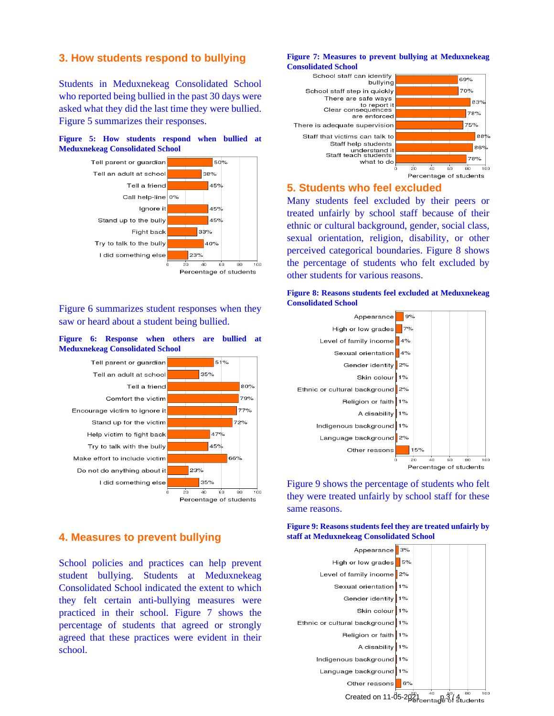### **3. How students respond to bullying**

Students in Meduxnekeag Consolidated School who reported being bullied in the past 30 days were asked what they did the last time they were bullied. Figure 5 summarizes their responses.





Figure 6 summarizes student responses when they saw or heard about a student being bullied.





# **4. Measures to prevent bullying**

School policies and practices can help prevent student bullying. Students at Meduxnekeag Consolidated School indicated the extent to which they felt certain anti-bullying measures were practiced in their school. Figure 7 shows the percentage of students that agreed or strongly agreed that these practices were evident in their school.

#### **Figure 7: Measures to prevent bullying at Meduxnekeag Consolidated School**



### **5. Students who feel excluded**

Many students feel excluded by their peers or treated unfairly by school staff because of their ethnic or cultural background, gender, social class, sexual orientation, religion, disability, or other perceived categorical boundaries. Figure 8 shows the percentage of students who felt excluded by other students for various reasons.





Figure 9 shows the percentage of students who felt they were treated unfairly by school staff for these same reasons.

**Figure 9: Reasons students feel they are treated unfairly by staff at Meduxnekeag Consolidated School**